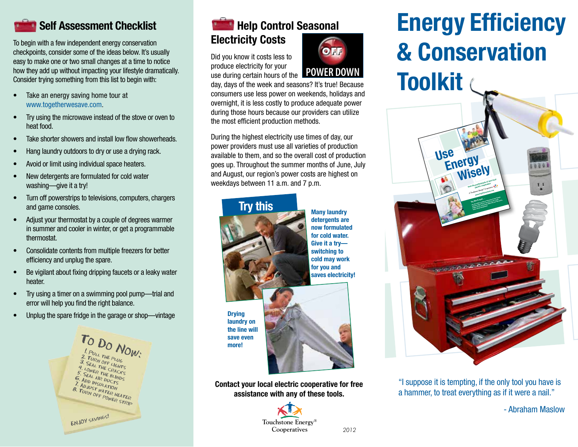#### **R** Self Assessment Checklist

To begin with a few independent energy conservation checkpoints, consider some of the ideas below. It's usually easy to make one or two small changes at a time to notice how they add up without impacting your lifestyle dramatically. Consider trying something from this list to begin with:

- Take an energy saving home tour at www.togetherwesave.com.
- Try using the microwave instead of the stove or oven to heat food.
- Take shorter showers and install low flow showerheads.
- Hang laundry outdoors to dry or use a drying rack.
- Avoid or limit using individual space heaters.
- New detergents are formulated for cold water washing—give it a try!
- Turn off powerstrips to televisions, computers, chargers and game consoles.
- Adjust your thermostat by a couple of degrees warmer in summer and cooler in winter, or get a programmable thermostat.
- • Consolidate contents from multiple freezers for better efficiency and unplug the spare.
- Be vigilant about fixing dripping faucets or a leaky water heater.
- Try using a timer on a swimming pool pump—trial and error will help you find the right balance.
- Unplug the spare fridge in the garage or shop—vintage



## **Help Control Seasonal** Electricity Costs

Did you know it costs less to produce electricity for your



day, days of the week and seasons? It's true! Because consumers use less power on weekends, holidays and overnight, it is less costly to produce adequate power during those hours because our providers can utilize the most efficient production methods.

During the highest electricity use times of day, our power providers must use all varieties of production available to them, and so the overall cost of production goes up. Throughout the summer months of June, July and August, our region's power costs are highest on weekdays between 11 a.m. and 7 p.m.

#### Many laundry detergents are now formulated for cold water. Give it a try switching to cold may work for you and saves electricity! **Drying** laundry on the line will save even more! Try this

Contact your local electric cooperative for free assistance with any of these tools.

> Touchstone Energy® Cooperatives

# Energy Efficiency & Conservation **Toolkit**



"I suppose it is tempting, if the only tool you have is a hammer, to treat everything as if it were a nail."

- Abraham Maslow

#### *2012*